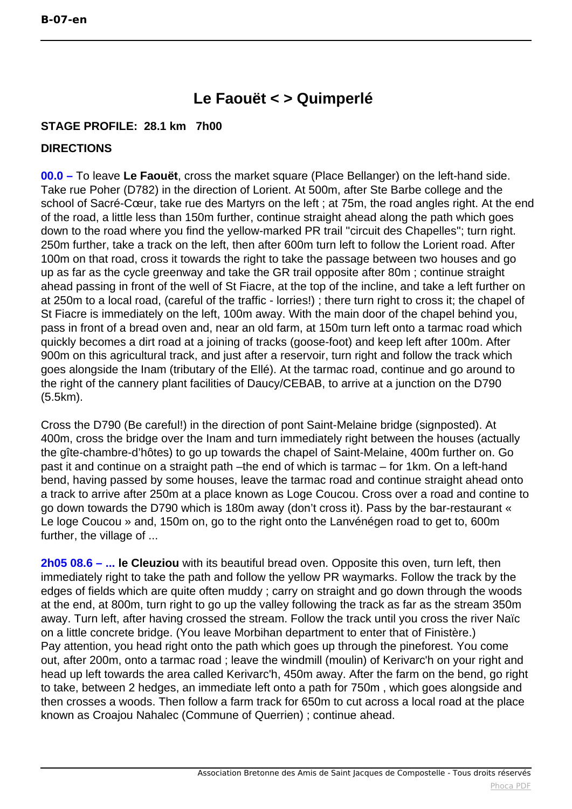## **Le Faouët < > Quimperlé**

## **STAGE PROFILE: 28.1 km 7h00**

## **DIRECTIONS**

**00.0 –** To leave **Le Faouët**, cross the market square (Place Bellanger) on the left-hand side. Take rue Poher (D782) in the direction of Lorient. At 500m, after Ste Barbe college and the school of Sacré-Cœur, take rue des Martyrs on the left ; at 75m, the road angles right. At the end of the road, a little less than 150m further, continue straight ahead along the path which goes down to the road where you find the yellow-marked PR trail ''circuit des Chapelles''; turn right. 250m further, take a track on the left, then after 600m turn left to follow the Lorient road. After 100m on that road, cross it towards the right to take the passage between two houses and go up as far as the cycle greenway and take the GR trail opposite after 80m ; continue straight ahead passing in front of the well of St Fiacre, at the top of the incline, and take a left further on at 250m to a local road, (careful of the traffic - lorries!) ; there turn right to cross it; the chapel of St Fiacre is immediately on the left, 100m away. With the main door of the chapel behind you, pass in front of a bread oven and, near an old farm, at 150m turn left onto a tarmac road which quickly becomes a dirt road at a joining of tracks (goose-foot) and keep left after 100m. After 900m on this agricultural track, and just after a reservoir, turn right and follow the track which goes alongside the Inam (tributary of the Ellé). At the tarmac road, continue and go around to the right of the cannery plant facilities of Daucy/CEBAB, to arrive at a junction on the D790 (5.5km).

Cross the D790 (Be careful!) in the direction of pont Saint-Melaine bridge (signposted). At 400m, cross the bridge over the Inam and turn immediately right between the houses (actually the gîte-chambre-d'hôtes) to go up towards the chapel of Saint-Melaine, 400m further on. Go past it and continue on a straight path –the end of which is tarmac – for 1km. On a left-hand bend, having passed by some houses, leave the tarmac road and continue straight ahead onto a track to arrive after 250m at a place known as Loge Coucou. Cross over a road and contine to go down towards the D790 which is 180m away (don't cross it). Pass by the bar-restaurant « Le loge Coucou » and, 150m on, go to the right onto the Lanvénégen road to get to, 600m further, the village of ...

**2h05 08.6 – ... le Cleuziou** with its beautiful bread oven. Opposite this oven, turn left, then immediately right to take the path and follow the yellow PR waymarks. Follow the track by the edges of fields which are quite often muddy ; carry on straight and go down through the woods at the end, at 800m, turn right to go up the valley following the track as far as the stream 350m away. Turn left, after having crossed the stream. Follow the track until you cross the river Naïc on a little concrete bridge. (You leave Morbihan department to enter that of Finistère.) Pay attention, you head right onto the path which goes up through the pineforest. You come out, after 200m, onto a tarmac road ; leave the windmill (moulin) of Kerivarc'h on your right and head up left towards the area called Kerivarc'h, 450m away. After the farm on the bend, go right to take, between 2 hedges, an immediate left onto a path for 750m , which goes alongside and then crosses a woods. Then follow a farm track for 650m to cut across a local road at the place known as Croajou Nahalec (Commune of Querrien) ; continue ahead.